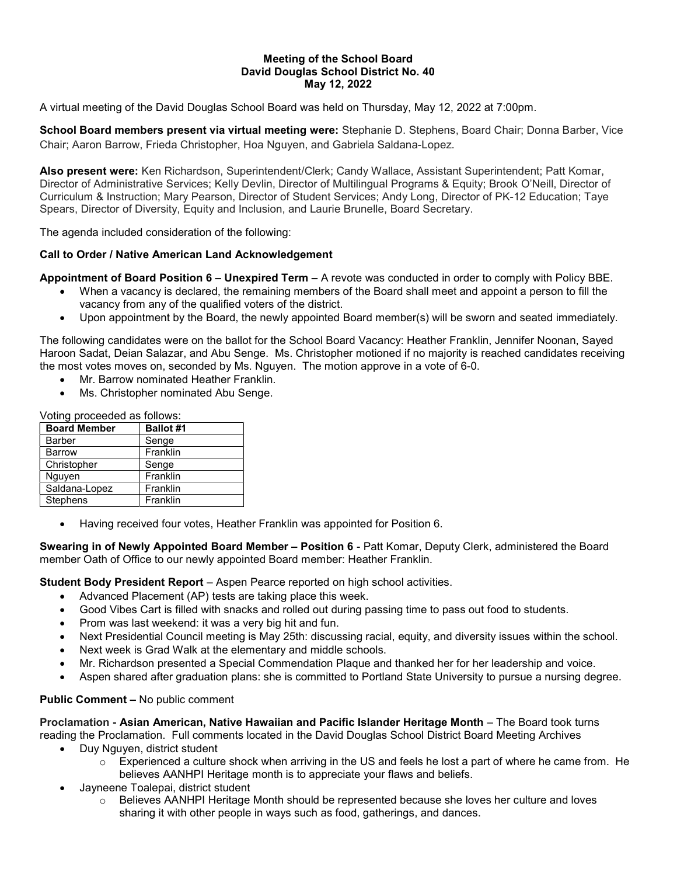#### Meeting of the School Board David Douglas School District No. 40 May 12, 2022

A virtual meeting of the David Douglas School Board was held on Thursday, May 12, 2022 at 7:00pm.

School Board members present via virtual meeting were: Stephanie D. Stephens, Board Chair; Donna Barber, Vice Chair; Aaron Barrow, Frieda Christopher, Hoa Nguyen, and Gabriela Saldana-Lopez.

Also present were: Ken Richardson, Superintendent/Clerk; Candy Wallace, Assistant Superintendent; Patt Komar, Director of Administrative Services; Kelly Devlin, Director of Multilingual Programs & Equity; Brook O'Neill, Director of Curriculum & Instruction; Mary Pearson, Director of Student Services; Andy Long, Director of PK-12 Education; Taye Spears, Director of Diversity, Equity and Inclusion, and Laurie Brunelle, Board Secretary.

The agenda included consideration of the following:

# Call to Order / Native American Land Acknowledgement

Appointment of Board Position 6 – Unexpired Term – A revote was conducted in order to comply with Policy BBE.

- When a vacancy is declared, the remaining members of the Board shall meet and appoint a person to fill the vacancy from any of the qualified voters of the district.
- Upon appointment by the Board, the newly appointed Board member(s) will be sworn and seated immediately.

The following candidates were on the ballot for the School Board Vacancy: Heather Franklin, Jennifer Noonan, Sayed Haroon Sadat, Deian Salazar, and Abu Senge. Ms. Christopher motioned if no majority is reached candidates receiving the most votes moves on, seconded by Ms. Nguyen. The motion approve in a vote of 6-0.

- Mr. Barrow nominated Heather Franklin.
- Ms. Christopher nominated Abu Senge.

Voting proceeded as follows:

| <b>Board Member</b> | <b>Ballot #1</b> |
|---------------------|------------------|
| <b>Barber</b>       | Senge            |
| <b>Barrow</b>       | Franklin         |
| Christopher         | Senge            |
| Nguyen              | Franklin         |
| Saldana-Lopez       | Franklin         |
| Stephens            | Franklin         |

Having received four votes, Heather Franklin was appointed for Position 6.

Swearing in of Newly Appointed Board Member - Position 6 - Patt Komar, Deputy Clerk, administered the Board member Oath of Office to our newly appointed Board member: Heather Franklin.

Student Body President Report – Aspen Pearce reported on high school activities.

- Advanced Placement (AP) tests are taking place this week.
- Good Vibes Cart is filled with snacks and rolled out during passing time to pass out food to students.
- Prom was last weekend: it was a very big hit and fun.
- Next Presidential Council meeting is May 25th: discussing racial, equity, and diversity issues within the school.
- Next week is Grad Walk at the elementary and middle schools.
- Mr. Richardson presented a Special Commendation Plaque and thanked her for her leadership and voice.
- Aspen shared after graduation plans: she is committed to Portland State University to pursue a nursing degree.

# Public Comment – No public comment

Proclamation - Asian American, Native Hawaiian and Pacific Islander Heritage Month – The Board took turns reading the Proclamation. Full comments located in the David Douglas School District Board Meeting Archives

- Duy Nguyen, district student
	- $\circ$  Experienced a culture shock when arriving in the US and feels he lost a part of where he came from. He believes AANHPI Heritage month is to appreciate your flaws and beliefs.
- Jayneene Toalepai, district student
	- $\circ$  Believes AANHPI Heritage Month should be represented because she loves her culture and loves sharing it with other people in ways such as food, gatherings, and dances.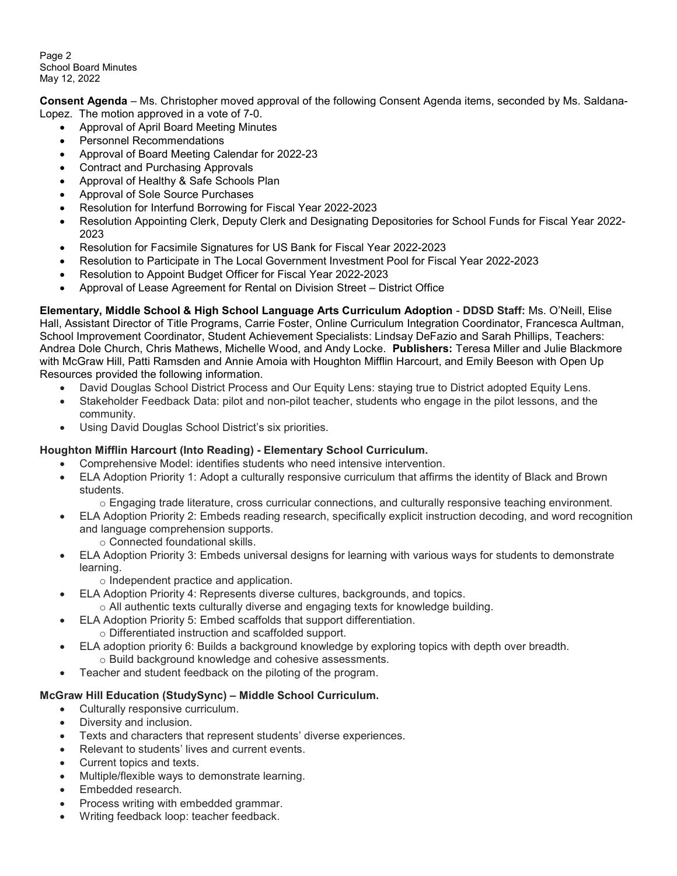Page 2 School Board Minutes May 12, 2022

Consent Agenda – Ms. Christopher moved approval of the following Consent Agenda items, seconded by Ms. Saldana-Lopez. The motion approved in a vote of 7-0.

- Approval of April Board Meeting Minutes
- Personnel Recommendations
- Approval of Board Meeting Calendar for 2022-23
- Contract and Purchasing Approvals
- Approval of Healthy & Safe Schools Plan
- Approval of Sole Source Purchases
- Resolution for Interfund Borrowing for Fiscal Year 2022-2023
- Resolution Appointing Clerk, Deputy Clerk and Designating Depositories for School Funds for Fiscal Year 2022- 2023
- Resolution for Facsimile Signatures for US Bank for Fiscal Year 2022-2023
- Resolution to Participate in The Local Government Investment Pool for Fiscal Year 2022-2023
- Resolution to Appoint Budget Officer for Fiscal Year 2022-2023
- Approval of Lease Agreement for Rental on Division Street District Office

Elementary, Middle School & High School Language Arts Curriculum Adoption - DDSD Staff: Ms. O'Neill, Elise Hall, Assistant Director of Title Programs, Carrie Foster, Online Curriculum Integration Coordinator, Francesca Aultman, School Improvement Coordinator, Student Achievement Specialists: Lindsay DeFazio and Sarah Phillips, Teachers: Andrea Dole Church, Chris Mathews, Michelle Wood, and Andy Locke. Publishers: Teresa Miller and Julie Blackmore with McGraw Hill, Patti Ramsden and Annie Amoia with Houghton Mifflin Harcourt, and Emily Beeson with Open Up Resources provided the following information.

- David Douglas School District Process and Our Equity Lens: staying true to District adopted Equity Lens.
- Stakeholder Feedback Data: pilot and non-pilot teacher, students who engage in the pilot lessons, and the community.
- Using David Douglas School District's six priorities.

# Houghton Mifflin Harcourt (Into Reading) - Elementary School Curriculum.

- Comprehensive Model: identifies students who need intensive intervention.
- ELA Adoption Priority 1: Adopt a culturally responsive curriculum that affirms the identity of Black and Brown students.
	- o Engaging trade literature, cross curricular connections, and culturally responsive teaching environment.
- ELA Adoption Priority 2: Embeds reading research, specifically explicit instruction decoding, and word recognition and language comprehension supports.
	- o Connected foundational skills.
- ELA Adoption Priority 3: Embeds universal designs for learning with various ways for students to demonstrate learning.
	- o Independent practice and application.
- ELA Adoption Priority 4: Represents diverse cultures, backgrounds, and topics.
	- $\circ$  All authentic texts culturally diverse and engaging texts for knowledge building.
- ELA Adoption Priority 5: Embed scaffolds that support differentiation.
- o Differentiated instruction and scaffolded support.
- ELA adoption priority 6: Builds a background knowledge by exploring topics with depth over breadth. o Build background knowledge and cohesive assessments.
- Teacher and student feedback on the piloting of the program.

# McGraw Hill Education (StudySync) – Middle School Curriculum.

- Culturally responsive curriculum.
- Diversity and inclusion.
- Texts and characters that represent students' diverse experiences.
- Relevant to students' lives and current events.
- Current topics and texts.
- Multiple/flexible ways to demonstrate learning.
- Embedded research.
- Process writing with embedded grammar.
- Writing feedback loop: teacher feedback.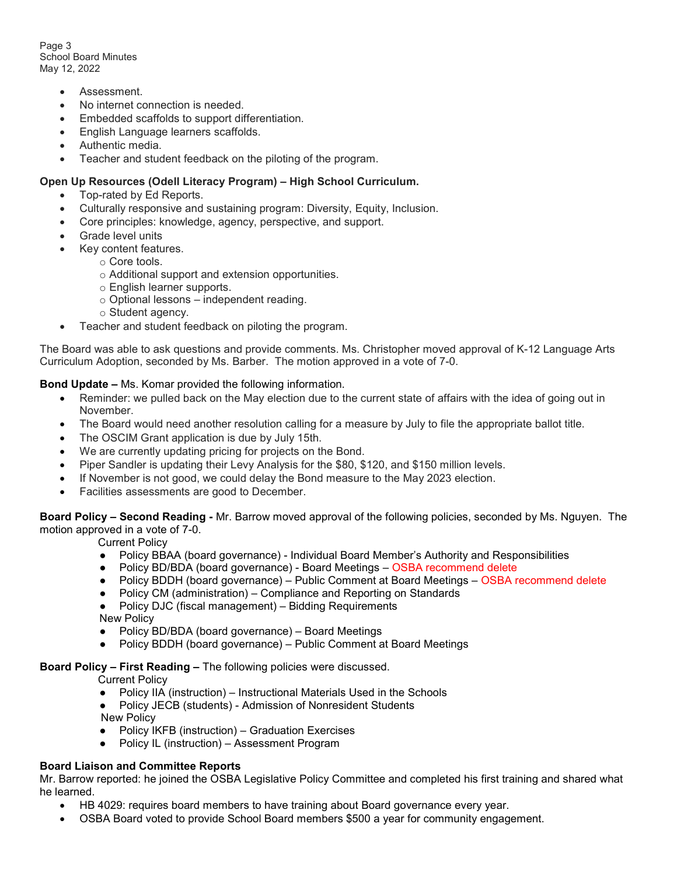Page 3 School Board Minutes May 12, 2022

- Assessment.
- No internet connection is needed.
- Embedded scaffolds to support differentiation.
- English Language learners scaffolds.
- Authentic media.
- Teacher and student feedback on the piloting of the program.

#### Open Up Resources (Odell Literacy Program) – High School Curriculum.

- Top-rated by Ed Reports.
- Culturally responsive and sustaining program: Diversity, Equity, Inclusion.
- Core principles: knowledge, agency, perspective, and support.
- Grade level units
- Key content features.
	- o Core tools.
	- o Additional support and extension opportunities.
	- o English learner supports.
	- $\circ$  Optional lessons independent reading.
	- o Student agency.
- Teacher and student feedback on piloting the program.

The Board was able to ask questions and provide comments. Ms. Christopher moved approval of K-12 Language Arts Curriculum Adoption, seconded by Ms. Barber. The motion approved in a vote of 7-0.

#### Bond Update – Ms. Komar provided the following information.

- Reminder: we pulled back on the May election due to the current state of affairs with the idea of going out in November.
- The Board would need another resolution calling for a measure by July to file the appropriate ballot title.
- The OSCIM Grant application is due by July 15th.
- We are currently updating pricing for projects on the Bond.
- Piper Sandler is updating their Levy Analysis for the \$80, \$120, and \$150 million levels.
- If November is not good, we could delay the Bond measure to the May 2023 election.
- Facilities assessments are good to December.

Board Policy – Second Reading - Mr. Barrow moved approval of the following policies, seconded by Ms. Nguyen. The motion approved in a vote of 7-0.

Current Policy

- Policy BBAA (board governance) Individual Board Member's Authority and Responsibilities
- Policy BD/BDA (board governance) Board Meetings OSBA recommend delete
- Policy BDDH (board governance) Public Comment at Board Meetings OSBA recommend delete
- Policy CM (administration) Compliance and Reporting on Standards
- Policy DJC (fiscal management) Bidding Requirements New Policy
- Policy BD/BDA (board governance) Board Meetings
- Policy BDDH (board governance) Public Comment at Board Meetings

#### Board Policy – First Reading – The following policies were discussed.

Current Policy

- Policy IIA (instruction) Instructional Materials Used in the Schools
- Policy JECB (students) Admission of Nonresident Students New Policy
- Policy IKFB (instruction) Graduation Exercises
- Policy IL (instruction) Assessment Program

# Board Liaison and Committee Reports

Mr. Barrow reported: he joined the OSBA Legislative Policy Committee and completed his first training and shared what he learned.

- HB 4029: requires board members to have training about Board governance every year.
- OSBA Board voted to provide School Board members \$500 a year for community engagement.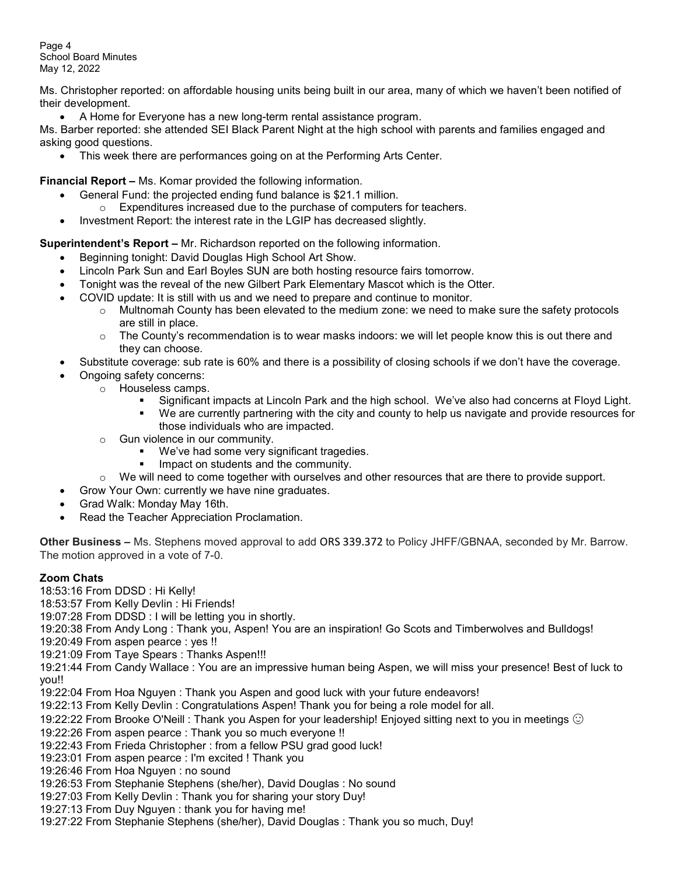Page 4 School Board Minutes May 12, 2022

Ms. Christopher reported: on affordable housing units being built in our area, many of which we haven't been notified of their development.

A Home for Everyone has a new long-term rental assistance program.

Ms. Barber reported: she attended SEI Black Parent Night at the high school with parents and families engaged and asking good questions.

• This week there are performances going on at the Performing Arts Center.

Financial Report – Ms. Komar provided the following information.

- General Fund: the projected ending fund balance is \$21.1 million.
	- o Expenditures increased due to the purchase of computers for teachers.
- Investment Report: the interest rate in the LGIP has decreased slightly.

Superintendent's Report - Mr. Richardson reported on the following information.

- Beginning tonight: David Douglas High School Art Show.
- Lincoln Park Sun and Earl Boyles SUN are both hosting resource fairs tomorrow.
- Tonight was the reveal of the new Gilbert Park Elementary Mascot which is the Otter.
- COVID update: It is still with us and we need to prepare and continue to monitor.
	- o Multnomah County has been elevated to the medium zone: we need to make sure the safety protocols are still in place.
	- $\circ$  The County's recommendation is to wear masks indoors: we will let people know this is out there and they can choose.
- Substitute coverage: sub rate is 60% and there is a possibility of closing schools if we don't have the coverage.
- Ongoing safety concerns:
	- o Houseless camps.
		- Significant impacts at Lincoln Park and the high school. We've also had concerns at Floyd Light.
		- We are currently partnering with the city and county to help us navigate and provide resources for those individuals who are impacted.
		- o Gun violence in our community.
			- We've had some very significant tragedies.
			- Impact on students and the community.
		- $\circ$  We will need to come together with ourselves and other resources that are there to provide support.
	- Grow Your Own: currently we have nine graduates.
- Grad Walk: Monday May 16th.
- Read the Teacher Appreciation Proclamation.

Other Business – Ms. Stephens moved approval to add ORS 339.372 to Policy JHFF/GBNAA, seconded by Mr. Barrow. The motion approved in a vote of 7-0.

# Zoom Chats

18:53:16 From DDSD : Hi Kelly!

18:53:57 From Kelly Devlin : Hi Friends!

19:07:28 From DDSD : I will be letting you in shortly.

19:20:38 From Andy Long : Thank you, Aspen! You are an inspiration! Go Scots and Timberwolves and Bulldogs!

19:20:49 From aspen pearce : yes !!

19:21:09 From Taye Spears : Thanks Aspen!!!

19:21:44 From Candy Wallace : You are an impressive human being Aspen, we will miss your presence! Best of luck to you!!

19:22:04 From Hoa Nguyen : Thank you Aspen and good luck with your future endeavors!

19:22:13 From Kelly Devlin : Congratulations Aspen! Thank you for being a role model for all.

19:22:22 From Brooke O'Neill : Thank you Aspen for your leadership! Enjoyed sitting next to you in meetings  $\odot$ 

- 19:22:26 From aspen pearce : Thank you so much everyone !!
- 19:22:43 From Frieda Christopher : from a fellow PSU grad good luck!

19:23:01 From aspen pearce : I'm excited ! Thank you

- 19:26:46 From Hoa Nguyen : no sound
- 19:26:53 From Stephanie Stephens (she/her), David Douglas : No sound
- 19:27:03 From Kelly Devlin : Thank you for sharing your story Duy!
- 19:27:13 From Duy Nguyen : thank you for having me!
- 19:27:22 From Stephanie Stephens (she/her), David Douglas : Thank you so much, Duy!